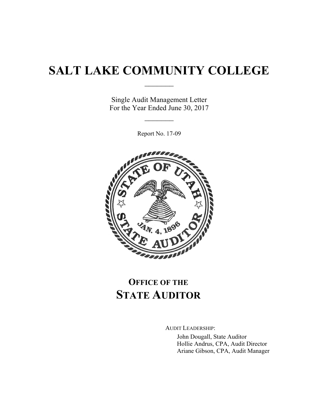# **SALT LAKE COMMUNITY COLLEGE**

 $\frac{1}{2}$ 

Single Audit Management Letter For the Year Ended June 30, 2017

 $\frac{1}{2}$ 

Report No. 17-09



## **OFFICE OF THE STATE AUDITOR**

AUDIT LEADERSHIP: John Dougall, State Auditor Hollie Andrus, CPA, Audit Director Ariane Gibson, CPA, Audit Manager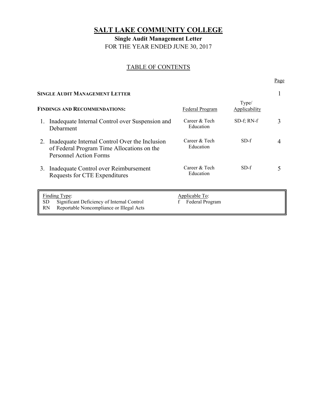## **SALT LAKE COMMUNITY COLLEGE**

**Single Audit Management Letter**  FOR THE YEAR ENDED JUNE 30, 2017

#### TABLE OF CONTENTS

| Page |
|------|
| ___  |

| <b>SINGLE AUDIT MANAGEMENT LETTER</b> |                                                                                                                               |                                   |                               |   |
|---------------------------------------|-------------------------------------------------------------------------------------------------------------------------------|-----------------------------------|-------------------------------|---|
| <b>FINDINGS AND RECOMMENDATIONS:</b>  |                                                                                                                               | <b>Federal Program</b>            | Type/<br><b>Applicability</b> |   |
|                                       | Inadequate Internal Control over Suspension and<br>Debarment                                                                  | Career & Tech<br>Education        | $SD-f$ ; RN- $f$              | 3 |
| 2.                                    | Inadequate Internal Control Over the Inclusion<br>of Federal Program Time Allocations on the<br><b>Personnel Action Forms</b> | Career & Tech<br>Education        | $SD-f$                        |   |
| 3.                                    | Inadequate Control over Reimbursement<br>Requests for CTE Expenditures                                                        | Career & Tech<br>Education        | $SD-f$                        |   |
| SD<br>RN                              | Finding Type:<br>Significant Deficiency of Internal Control<br>Reportable Noncompliance or Illegal Acts                       | Applicable To:<br>Federal Program |                               |   |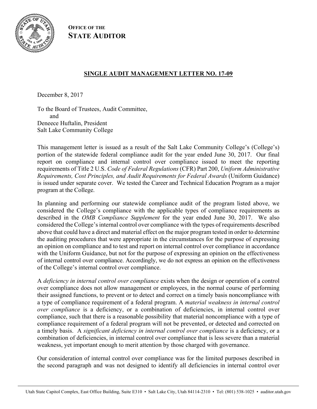

**OFFICE OF THE STATE AUDITOR**

#### **SINGLE AUDIT MANAGEMENT LETTER NO. 17-09**

December 8, 2017

To the Board of Trustees, Audit Committee, and Deneece Huftalin, President Salt Lake Community College

This management letter is issued as a result of the Salt Lake Community College's (College's) portion of the statewide federal compliance audit for the year ended June 30, 2017. Our final report on compliance and internal control over compliance issued to meet the reporting requirements of Title 2 U.S. *Code of Federal Regulations* (CFR) Part 200, *Uniform Administrative Requirements, Cost Principles, and Audit Requirements for Federal Awards* (Uniform Guidance) is issued under separate cover. We tested the Career and Technical Education Program as a major program at the College.

In planning and performing our statewide compliance audit of the program listed above, we considered the College's compliance with the applicable types of compliance requirements as described in the *OMB Compliance Supplement* for the year ended June 30, 2017. We also considered the College's internal control over compliance with the types of requirements described above that could have a direct and material effect on the major program tested in order to determine the auditing procedures that were appropriate in the circumstances for the purpose of expressing an opinion on compliance and to test and report on internal control over compliance in accordance with the Uniform Guidance, but not for the purpose of expressing an opinion on the effectiveness of internal control over compliance. Accordingly, we do not express an opinion on the effectiveness of the College's internal control over compliance.

A *deficiency in internal control over compliance* exists when the design or operation of a control over compliance does not allow management or employees, in the normal course of performing their assigned functions, to prevent or to detect and correct on a timely basis noncompliance with a type of compliance requirement of a federal program. A *material weakness in internal control over compliance* is a deficiency, or a combination of deficiencies, in internal control over compliance, such that there is a reasonable possibility that material noncompliance with a type of compliance requirement of a federal program will not be prevented, or detected and corrected on a timely basis. A *significant deficiency in internal control over compliance* is a deficiency, or a combination of deficiencies, in internal control over compliance that is less severe than a material weakness, yet important enough to merit attention by those charged with governance.

Our consideration of internal control over compliance was for the limited purposes described in the second paragraph and was not designed to identify all deficiencies in internal control over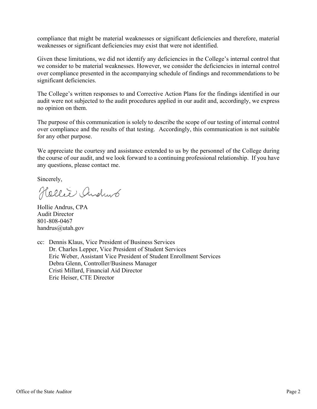compliance that might be material weaknesses or significant deficiencies and therefore, material weaknesses or significant deficiencies may exist that were not identified.

Given these limitations, we did not identify any deficiencies in the College's internal control that we consider to be material weaknesses. However, we consider the deficiencies in internal control over compliance presented in the accompanying schedule of findings and recommendations to be significant deficiencies.

The College's written responses to and Corrective Action Plans for the findings identified in our audit were not subjected to the audit procedures applied in our audit and, accordingly, we express no opinion on them.

The purpose of this communication is solely to describe the scope of our testing of internal control over compliance and the results of that testing. Accordingly, this communication is not suitable for any other purpose.

We appreciate the courtesy and assistance extended to us by the personnel of the College during the course of our audit, and we look forward to a continuing professional relationship. If you have any questions, please contact me.

Sincerely,

Hellie Andrus

Hollie Andrus, CPA Audit Director 801-808-0467 handrus@utah.gov

cc: Dennis Klaus, Vice President of Business Services Dr. Charles Lepper, Vice President of Student Services Eric Weber, Assistant Vice President of Student Enrollment Services Debra Glenn, Controller/Business Manager Cristi Millard, Financial Aid Director Eric Heiser, CTE Director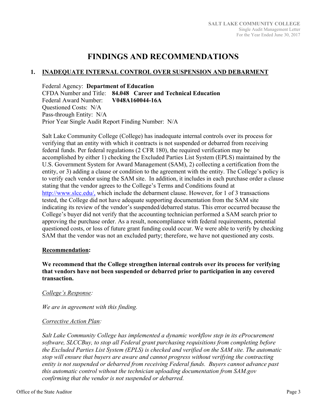### **FINDINGS AND RECOMMENDATIONS**

#### **1. INADEQUATE INTERNAL CONTROL OVER SUSPENSION AND DEBARMENT**

Federal Agency: **Department of Education**  CFDA Number and Title: **84.048 Career and Technical Education**  Federal Award Number: **V048A160044-16A**  Questioned Costs: N/A Pass-through Entity: N/A Prior Year Single Audit Report Finding Number: N/A

Salt Lake Community College (College) has inadequate internal controls over its process for verifying that an entity with which it contracts is not suspended or debarred from receiving federal funds. Per federal regulations (2 CFR 180), the required verification may be accomplished by either 1) checking the Excluded Parties List System (EPLS) maintained by the U.S. Government System for Award Management (SAM), 2) collecting a certification from the entity, or 3) adding a clause or condition to the agreement with the entity. The College's policy is to verify each vendor using the SAM site. In addition, it includes in each purchase order a clause stating that the vendor agrees to the College's Terms and Conditions found at http://www.slcc.edu/, which include the debarment clause. However, for 1 of 3 transactions tested, the College did not have adequate supporting documentation from the SAM site indicating its review of the vendor's suspended/debarred status. This error occurred because the College's buyer did not verify that the accounting technician performed a SAM search prior to approving the purchase order. As a result, noncompliance with federal requirements, potential questioned costs, or loss of future grant funding could occur. We were able to verify by checking SAM that the vendor was not an excluded party; therefore, we have not questioned any costs.

#### **Recommendation:**

**We recommend that the College strengthen internal controls over its process for verifying that vendors have not been suspended or debarred prior to participation in any covered transaction.** 

#### *College's Response:*

*We are in agreement with this finding.* 

#### *Corrective Action Plan:*

*Salt Lake Community College has implemented a dynamic workflow step in its eProcurement software, SLCCBuy, to stop all Federal grant purchasing requisitions from completing before the Excluded Parties List System (EPLS) is checked and verified on the SAM site. The automatic stop will ensure that buyers are aware and cannot progress without verifying the contracting entity is not suspended or debarred from receiving Federal funds. Buyers cannot advance past this automatic control without the technician uploading documentation from SAM.gov confirming that the vendor is not suspended or debarred.*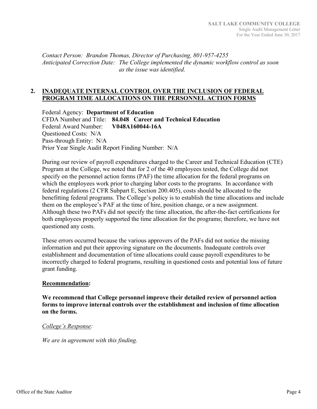*Contact Person: Brandon Thomas, Director of Purchasing, 801-957-4255 Anticipated Correction Date: The College implemented the dynamic workflow control as soon as the issue was identified.* 

#### **2. INADEQUATE INTERNAL CONTROL OVER THE INCLUSION OF FEDERAL PROGRAM TIME ALLOCATIONS ON THE PERSONNEL ACTION FORMS**

Federal Agency: **Department of Education**  CFDA Number and Title: **84.048 Career and Technical Education**  Federal Award Number: **V048A160044-16A**  Questioned Costs: N/A Pass-through Entity: N/A Prior Year Single Audit Report Finding Number: N/A

During our review of payroll expenditures charged to the Career and Technical Education (CTE) Program at the College, we noted that for 2 of the 40 employees tested, the College did not specify on the personnel action forms (PAF) the time allocation for the federal programs on which the employees work prior to charging labor costs to the programs. In accordance with federal regulations (2 CFR Subpart E, Section 200.405), costs should be allocated to the benefitting federal programs. The College's policy is to establish the time allocations and include them on the employee's PAF at the time of hire, position change, or a new assignment. Although these two PAFs did not specify the time allocation, the after-the-fact certifications for both employees properly supported the time allocation for the programs; therefore, we have not questioned any costs.

These errors occurred because the various approvers of the PAFs did not notice the missing information and put their approving signature on the documents. Inadequate controls over establishment and documentation of time allocations could cause payroll expenditures to be incorrectly charged to federal programs, resulting in questioned costs and potential loss of future grant funding.

#### **Recommendation:**

**We recommend that College personnel improve their detailed review of personnel action forms to improve internal controls over the establishment and inclusion of time allocation on the forms.**

#### *College's Response:*

*We are in agreement with this finding.*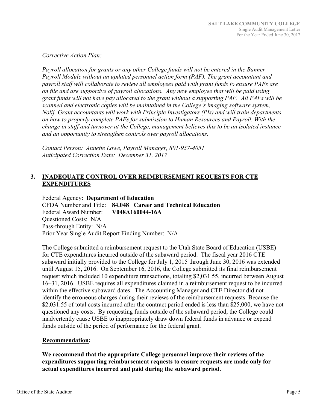#### *Corrective Action Plan:*

*Payroll allocation for grants or any other College funds will not be entered in the Banner Payroll Module without an updated personnel action form (PAF). The grant accountant and payroll staff will collaborate to review all employees paid with grant funds to ensure PAFs are on file and are supportive of payroll allocations. Any new employee that will be paid using grant funds will not have pay allocated to the grant without a supporting PAF. All PAFs will be scanned and electronic copies will be maintained in the College's imaging software system, Nolij. Grant accountants will work with Principle Investigators (PIs) and will train departments on how to properly complete PAFs for submission to Human Resources and Payroll. With the change in staff and turnover at the College, management believes this to be an isolated instance and an opportunity to strengthen controls over payroll allocations.* 

*Contact Person: Annette Lowe, Payroll Manager, 801-957-4051 Anticipated Correction Date: December 31, 2017* 

#### **3. INADEQUATE CONTROL OVER REIMBURSEMENT REQUESTS FOR CTE EXPENDITURES**

Federal Agency: **Department of Education**  CFDA Number and Title: **84.048 Career and Technical Education**  Federal Award Number: **V048A160044-16A**  Questioned Costs: N/A Pass-through Entity: N/A Prior Year Single Audit Report Finding Number: N/A

The College submitted a reimbursement request to the Utah State Board of Education (USBE) for CTE expenditures incurred outside of the subaward period. The fiscal year 2016 CTE subaward initially provided to the College for July 1, 2015 through June 30, 2016 was extended until August 15, 2016. On September 16, 2016, the College submitted its final reimbursement request which included 10 expenditure transactions, totaling \$2,031.55, incurred between August 16–31, 2016. USBE requires all expenditures claimed in a reimbursement request to be incurred within the effective subaward dates. The Accounting Manager and CTE Director did not identify the erroneous charges during their reviews of the reimbursement requests. Because the \$2,031.55 of total costs incurred after the contract period ended is less than \$25,000, we have not questioned any costs. By requesting funds outside of the subaward period, the College could inadvertently cause USBE to inappropriately draw down federal funds in advance or expend funds outside of the period of performance for the federal grant.

#### **Recommendation:**

**We recommend that the appropriate College personnel improve their reviews of the expenditures supporting reimbursement requests to ensure requests are made only for actual expenditures incurred and paid during the subaward period.**